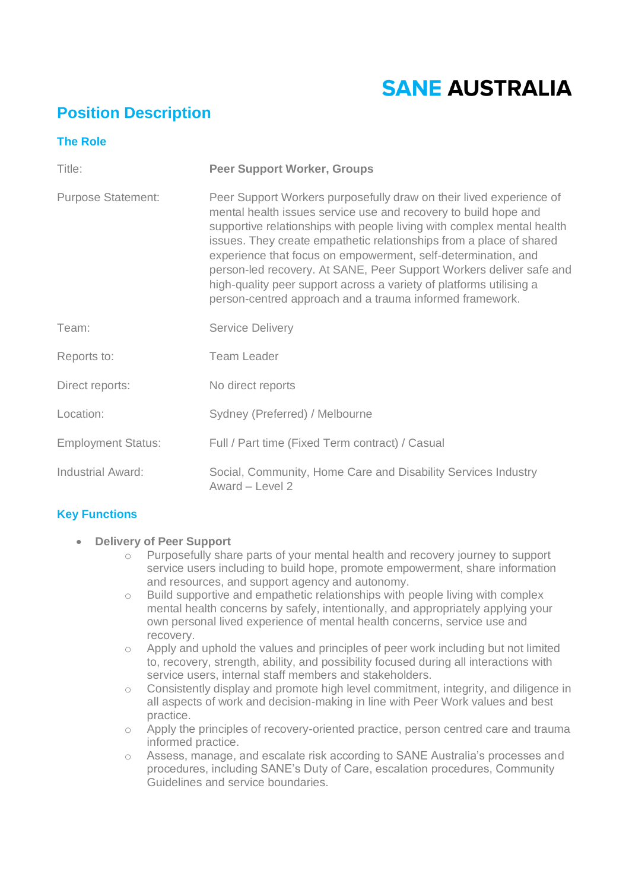# **SANE AUSTRALIA**

# **Position Description**

| <b>The Role</b>           |                                                                                                                                                                                                                                                                                                                                                                                                                                                                                                                                                                    |
|---------------------------|--------------------------------------------------------------------------------------------------------------------------------------------------------------------------------------------------------------------------------------------------------------------------------------------------------------------------------------------------------------------------------------------------------------------------------------------------------------------------------------------------------------------------------------------------------------------|
| Title:                    | <b>Peer Support Worker, Groups</b>                                                                                                                                                                                                                                                                                                                                                                                                                                                                                                                                 |
| <b>Purpose Statement:</b> | Peer Support Workers purposefully draw on their lived experience of<br>mental health issues service use and recovery to build hope and<br>supportive relationships with people living with complex mental health<br>issues. They create empathetic relationships from a place of shared<br>experience that focus on empowerment, self-determination, and<br>person-led recovery. At SANE, Peer Support Workers deliver safe and<br>high-quality peer support across a variety of platforms utilising a<br>person-centred approach and a trauma informed framework. |
| Team:                     | <b>Service Delivery</b>                                                                                                                                                                                                                                                                                                                                                                                                                                                                                                                                            |
| Reports to:               | <b>Team Leader</b>                                                                                                                                                                                                                                                                                                                                                                                                                                                                                                                                                 |
| Direct reports:           | No direct reports                                                                                                                                                                                                                                                                                                                                                                                                                                                                                                                                                  |
| Location:                 | Sydney (Preferred) / Melbourne                                                                                                                                                                                                                                                                                                                                                                                                                                                                                                                                     |
| <b>Employment Status:</b> | Full / Part time (Fixed Term contract) / Casual                                                                                                                                                                                                                                                                                                                                                                                                                                                                                                                    |
| Industrial Award:         | Social, Community, Home Care and Disability Services Industry<br>Award - Level 2                                                                                                                                                                                                                                                                                                                                                                                                                                                                                   |

## **Key Functions**

- **Delivery of Peer Support** 
	- o Purposefully share parts of your mental health and recovery journey to support service users including to build hope, promote empowerment, share information and resources, and support agency and autonomy.
	- o Build supportive and empathetic relationships with people living with complex mental health concerns by safely, intentionally, and appropriately applying your own personal lived experience of mental health concerns, service use and recovery.
	- $\circ$  Apply and uphold the values and principles of peer work including but not limited to, recovery, strength, ability, and possibility focused during all interactions with service users, internal staff members and stakeholders.
	- o Consistently display and promote high level commitment, integrity, and diligence in all aspects of work and decision-making in line with Peer Work values and best practice.
	- o Apply the principles of recovery-oriented practice, person centred care and trauma informed practice.
	- o Assess, manage, and escalate risk according to SANE Australia's processes and procedures, including SANE's Duty of Care, escalation procedures, Community Guidelines and service boundaries.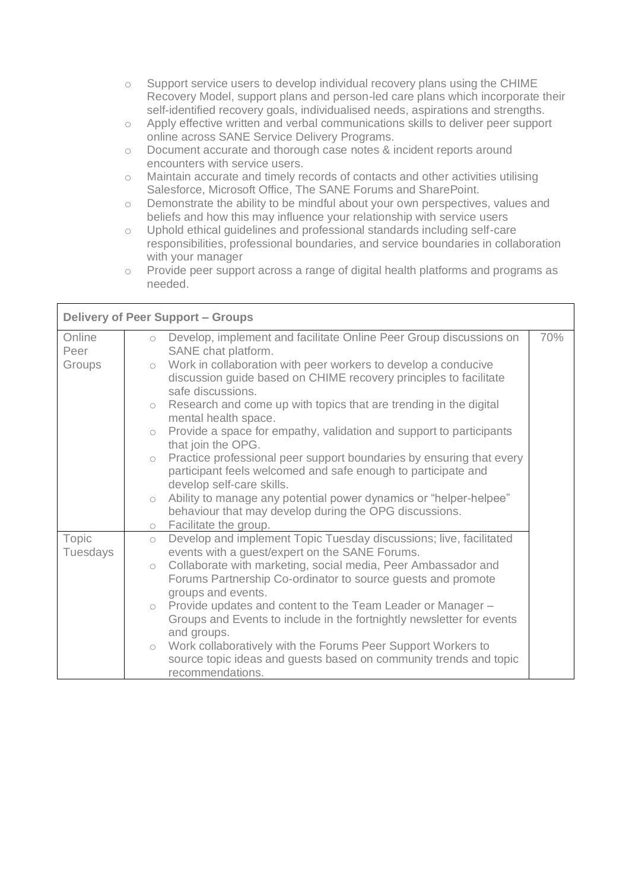- o Support service users to develop individual recovery plans using the CHIME Recovery Model, support plans and person-led care plans which incorporate their self-identified recovery goals, individualised needs, aspirations and strengths.
- o Apply effective written and verbal communications skills to deliver peer support online across SANE Service Delivery Programs.
- o Document accurate and thorough case notes & incident reports around encounters with service users.
- o Maintain accurate and timely records of contacts and other activities utilising Salesforce, Microsoft Office, The SANE Forums and SharePoint.
- o Demonstrate the ability to be mindful about your own perspectives, values and beliefs and how this may influence your relationship with service users
- o Uphold ethical guidelines and professional standards including self-care responsibilities, professional boundaries, and service boundaries in collaboration with your manager
- o Provide peer support across a range of digital health platforms and programs as needed.

| <b>Delivery of Peer Support - Groups</b> |                                                                                                                                                                                                                                                                                                                                                                                                                                                                                                                                                                                                                                                                              |     |  |  |
|------------------------------------------|------------------------------------------------------------------------------------------------------------------------------------------------------------------------------------------------------------------------------------------------------------------------------------------------------------------------------------------------------------------------------------------------------------------------------------------------------------------------------------------------------------------------------------------------------------------------------------------------------------------------------------------------------------------------------|-----|--|--|
| Online<br>Peer<br>Groups                 | Develop, implement and facilitate Online Peer Group discussions on<br>$\circ$<br>SANE chat platform.<br>Work in collaboration with peer workers to develop a conducive<br>$\circ$<br>discussion guide based on CHIME recovery principles to facilitate<br>safe discussions.<br>Research and come up with topics that are trending in the digital<br>$\circ$<br>mental health space.<br>$\circ$ Provide a space for empathy, validation and support to participants<br>that join the OPG.<br>Practice professional peer support boundaries by ensuring that every<br>$\bigcirc$<br>participant feels welcomed and safe enough to participate and<br>develop self-care skills. | 70% |  |  |
|                                          | Ability to manage any potential power dynamics or "helper-helpee"<br>$\bigcirc$<br>behaviour that may develop during the OPG discussions.<br>o Facilitate the group.                                                                                                                                                                                                                                                                                                                                                                                                                                                                                                         |     |  |  |
| Topic<br>Tuesdays                        | Develop and implement Topic Tuesday discussions; live, facilitated<br>$\circ$<br>events with a guest/expert on the SANE Forums.<br>Collaborate with marketing, social media, Peer Ambassador and<br>$\circ$<br>Forums Partnership Co-ordinator to source guests and promote<br>groups and events.<br>$\circ$ Provide updates and content to the Team Leader or Manager $-$<br>Groups and Events to include in the fortnightly newsletter for events<br>and groups.<br>Work collaboratively with the Forums Peer Support Workers to<br>$\circ$<br>source topic ideas and guests based on community trends and topic<br>recommendations.                                       |     |  |  |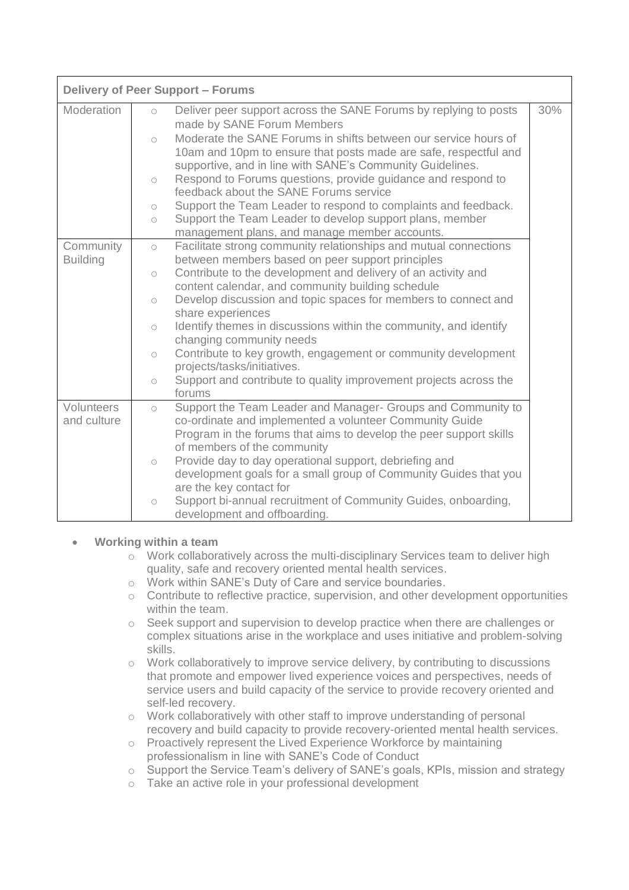| <b>Delivery of Peer Support - Forums</b> |                          |                                                                                                                            |     |  |  |
|------------------------------------------|--------------------------|----------------------------------------------------------------------------------------------------------------------------|-----|--|--|
| Moderation                               | $\circ$                  | Deliver peer support across the SANE Forums by replying to posts                                                           | 30% |  |  |
|                                          |                          | made by SANE Forum Members<br>Moderate the SANE Forums in shifts between our service hours of                              |     |  |  |
|                                          | $\circ$                  | 10am and 10pm to ensure that posts made are safe, respectful and                                                           |     |  |  |
|                                          |                          | supportive, and in line with SANE's Community Guidelines.                                                                  |     |  |  |
|                                          | $\circ$                  | Respond to Forums questions, provide guidance and respond to                                                               |     |  |  |
|                                          |                          | feedback about the SANE Forums service                                                                                     |     |  |  |
|                                          | $\bigcirc$<br>$\bigcirc$ | Support the Team Leader to respond to complaints and feedback.<br>Support the Team Leader to develop support plans, member |     |  |  |
|                                          |                          | management plans, and manage member accounts.                                                                              |     |  |  |
| Community                                | $\circ$                  | Facilitate strong community relationships and mutual connections                                                           |     |  |  |
| <b>Building</b>                          |                          | between members based on peer support principles                                                                           |     |  |  |
|                                          | $\circ$                  | Contribute to the development and delivery of an activity and<br>content calendar, and community building schedule         |     |  |  |
|                                          | $\circ$                  | Develop discussion and topic spaces for members to connect and                                                             |     |  |  |
|                                          |                          | share experiences                                                                                                          |     |  |  |
|                                          | $\circ$                  | Identify themes in discussions within the community, and identify                                                          |     |  |  |
|                                          |                          | changing community needs                                                                                                   |     |  |  |
|                                          | $\circ$                  | Contribute to key growth, engagement or community development                                                              |     |  |  |
|                                          | $\circ$                  | projects/tasks/initiatives.<br>Support and contribute to quality improvement projects across the                           |     |  |  |
|                                          |                          | forums                                                                                                                     |     |  |  |
| Volunteers                               | $\circ$                  | Support the Team Leader and Manager- Groups and Community to                                                               |     |  |  |
| and culture                              |                          | co-ordinate and implemented a volunteer Community Guide                                                                    |     |  |  |
|                                          |                          | Program in the forums that aims to develop the peer support skills<br>of members of the community                          |     |  |  |
|                                          | $\circ$                  | Provide day to day operational support, debriefing and                                                                     |     |  |  |
|                                          |                          | development goals for a small group of Community Guides that you                                                           |     |  |  |
|                                          |                          | are the key contact for                                                                                                    |     |  |  |
|                                          | $\circ$                  | Support bi-annual recruitment of Community Guides, onboarding,                                                             |     |  |  |
|                                          |                          | development and offboarding.                                                                                               |     |  |  |

### • **Working within a team**

- o Work collaboratively across the multi-disciplinary Services team to deliver high quality, safe and recovery oriented mental health services.
- o Work within SANE's Duty of Care and service boundaries.
- o Contribute to reflective practice, supervision, and other development opportunities within the team.
- $\circ$  Seek support and supervision to develop practice when there are challenges or complex situations arise in the workplace and uses initiative and problem-solving skills.
- o Work collaboratively to improve service delivery, by contributing to discussions that promote and empower lived experience voices and perspectives, needs of service users and build capacity of the service to provide recovery oriented and self-led recovery.
- $\circ$  Work collaboratively with other staff to improve understanding of personal recovery and build capacity to provide recovery-oriented mental health services.
- o Proactively represent the Lived Experience Workforce by maintaining professionalism in line with SANE's Code of Conduct
- o Support the Service Team's delivery of SANE's goals, KPIs, mission and strategy
- o Take an active role in your professional development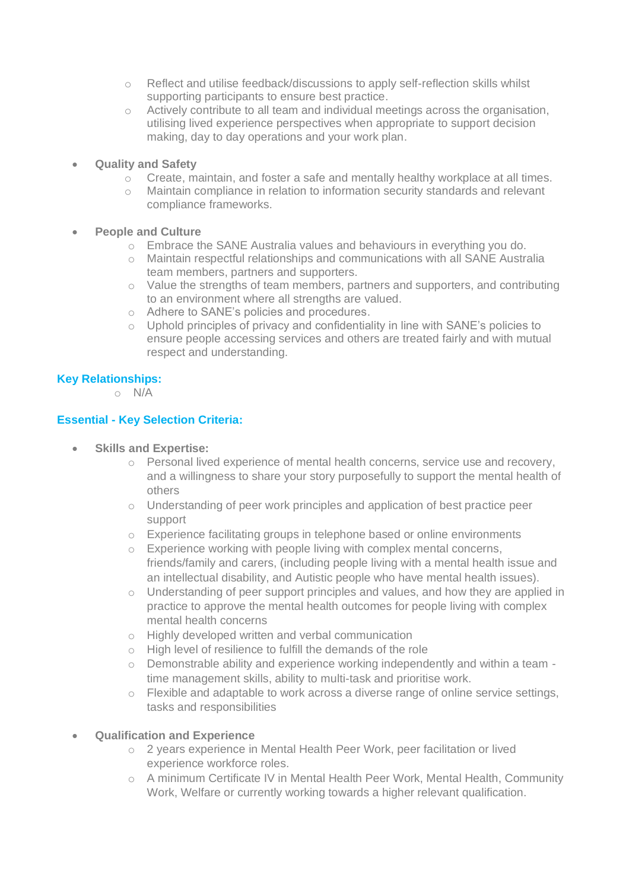- o Reflect and utilise feedback/discussions to apply self-reflection skills whilst supporting participants to ensure best practice.
- o Actively contribute to all team and individual meetings across the organisation, utilising lived experience perspectives when appropriate to support decision making, day to day operations and your work plan.
- **Quality and Safety** 
	- o Create, maintain, and foster a safe and mentally healthy workplace at all times.
	- o Maintain compliance in relation to information security standards and relevant compliance frameworks.
- **People and Culture** 
	- o Embrace the SANE Australia values and behaviours in everything you do.
	- o Maintain respectful relationships and communications with all SANE Australia team members, partners and supporters.
	- o Value the strengths of team members, partners and supporters, and contributing to an environment where all strengths are valued.
	- o Adhere to SANE's policies and procedures.
	- o Uphold principles of privacy and confidentiality in line with SANE's policies to ensure people accessing services and others are treated fairly and with mutual respect and understanding.

### **Key Relationships:**

 $\circ$  N/A

#### **Essential - Key Selection Criteria:**

- **Skills and Expertise:**
	- o Personal lived experience of mental health concerns, service use and recovery, and a willingness to share your story purposefully to support the mental health of others
	- o Understanding of peer work principles and application of best practice peer support
	- o Experience facilitating groups in telephone based or online environments
	- o Experience working with people living with complex mental concerns, friends/family and carers, (including people living with a mental health issue and an intellectual disability, and Autistic people who have mental health issues).
	- o Understanding of peer support principles and values, and how they are applied in practice to approve the mental health outcomes for people living with complex mental health concerns
	- o Highly developed written and verbal communication
	- o High level of resilience to fulfill the demands of the role
	- $\circ$  Demonstrable ability and experience working independently and within a team time management skills, ability to multi-task and prioritise work.
	- o Flexible and adaptable to work across a diverse range of online service settings, tasks and responsibilities

#### • **Qualification and Experience**

- o 2 years experience in Mental Health Peer Work, peer facilitation or lived experience workforce roles.
- o A minimum Certificate IV in Mental Health Peer Work, Mental Health, Community Work, Welfare or currently working towards a higher relevant qualification.